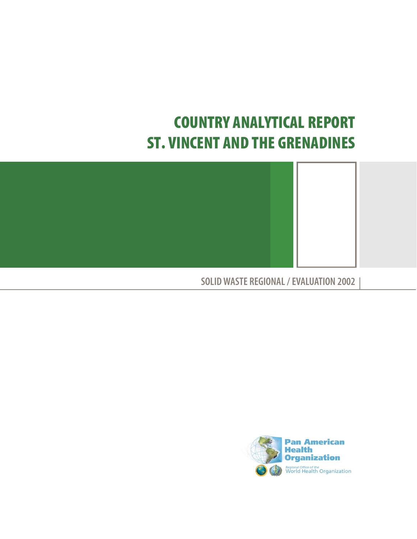# **COUNTRY ANALYTICAL REPORT ST. VINCENT AND THE GRENADINES**



**SOLID WASTE REGIONAL / EVALUATION 2002**

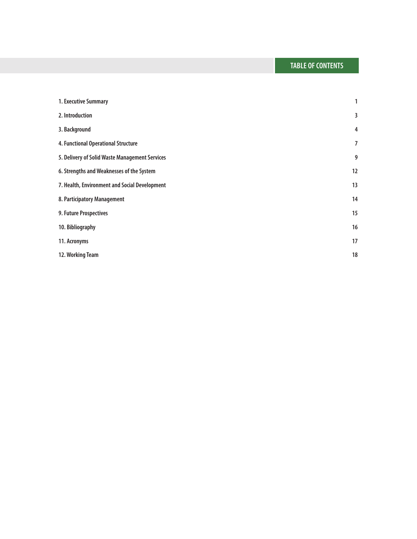| 1. Executive Summary                           | 1              |
|------------------------------------------------|----------------|
| 2. Introduction                                | 3              |
| 3. Background                                  | $\overline{4}$ |
| 4. Functional Operational Structure            | 7              |
| 5. Delivery of Solid Waste Management Services | 9              |
| 6. Strengths and Weaknesses of the System      | 12             |
| 7. Health, Environment and Social Development  | 13             |
| 8. Participatory Management                    | 14             |
| 9. Future Prospectives                         | 15             |
| 10. Bibliography                               | 16             |
| 11. Acronyms                                   | 17             |
| 12. Working Team                               | 18             |
|                                                |                |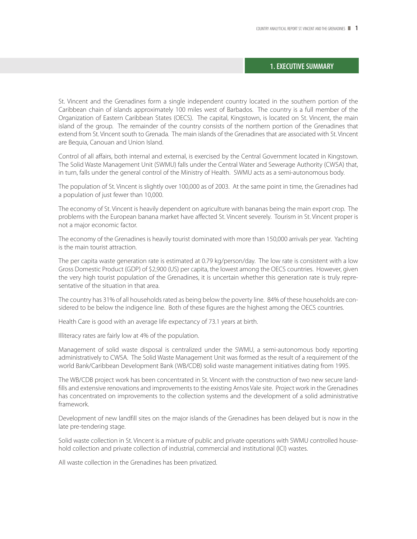#### **1. EXECUTIVE SUMMARY**

St. Vincent and the Grenadines form a single independent country located in the southern portion of the Caribbean chain of islands approximately 100 miles west of Barbados. The country is a full member of the Organization of Eastern Caribbean States (OECS). The capital, Kingstown, is located on St. Vincent, the main island of the group. The remainder of the country consists of the northern portion of the Grenadines that extend from St. Vincent south to Grenada. The main islands of the Grenadines that are associated with St. Vincent are Bequia, Canouan and Union Island.

Control of all affairs, both internal and external, is exercised by the Central Government located in Kingstown. The Solid Waste Management Unit (SWMU) falls under the Central Water and Sewerage Authority (CWSA) that, in turn, falls under the general control of the Ministry of Health. SWMU acts as a semi-autonomous body.

The population of St. Vincent is slightly over 100,000 as of 2003. At the same point in time, the Grenadines had a population of just fewer than 10,000.

The economy of St. Vincent is heavily dependent on agriculture with bananas being the main export crop. The problems with the European banana market have affected St. Vincent severely. Tourism in St. Vincent proper is not a major economic factor.

The economy of the Grenadines is heavily tourist dominated with more than 150,000 arrivals per year. Yachting is the main tourist attraction.

The per capita waste generation rate is estimated at 0.79 kg/person/day. The low rate is consistent with a low Gross Domestic Product (GDP) of \$2,900 (US) per capita, the lowest among the OECS countries. However, given the very high tourist population of the Grenadines, it is uncertain whether this generation rate is truly representative of the situation in that area.

The country has 31% of all households rated as being below the poverty line. 84% of these households are considered to be below the indigence line. Both of these figures are the highest among the OECS countries.

Health Care is good with an average life expectancy of 73.1 years at birth.

Illiteracy rates are fairly low at 4% of the population.

Management of solid waste disposal is centralized under the SWMU, a semi-autonomous body reporting administratively to CWSA. The Solid Waste Management Unit was formed as the result of a requirement of the world Bank/Caribbean Development Bank (WB/CDB) solid waste management initiatives dating from 1995.

The WB/CDB project work has been concentrated in St. Vincent with the construction of two new secure landfills and extensive renovations and improvements to the existing Arnos Vale site. Project work in the Grenadines has concentrated on improvements to the collection systems and the development of a solid administrative framework.

Development of new landfill sites on the major islands of the Grenadines has been delayed but is now in the late pre-tendering stage.

Solid waste collection in St. Vincent is a mixture of public and private operations with SWMU controlled household collection and private collection of industrial, commercial and institutional (ICI) wastes.

All waste collection in the Grenadines has been privatized.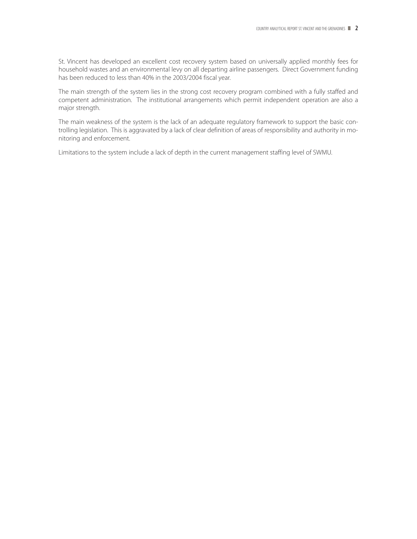St. Vincent has developed an excellent cost recovery system based on universally applied monthly fees for household wastes and an environmental levy on all departing airline passengers. Direct Government funding has been reduced to less than 40% in the 2003/2004 fiscal year.

The main strength of the system lies in the strong cost recovery program combined with a fully staffed and competent administration. The institutional arrangements which permit independent operation are also a major strength.

The main weakness of the system is the lack of an adequate regulatory framework to support the basic controlling legislation. This is aggravated by a lack of clear definition of areas of responsibility and authority in monitoring and enforcement.

Limitations to the system include a lack of depth in the current management staffing level of SWMU.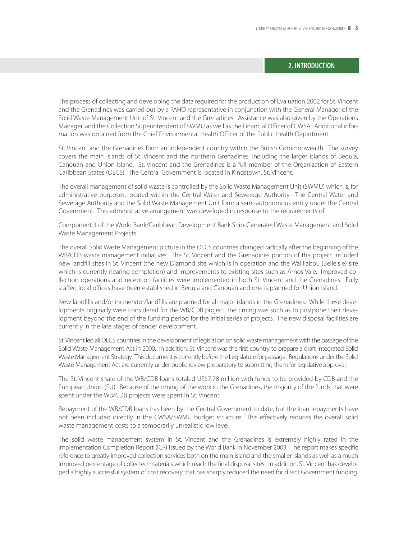# **2. INTRODUCTION**

The process of collecting and developing the data required for the production of Evaluation 2002 for St. Vincent and the Grenadines was carried out by a PAHO representative in conjunction with the General Manager of the Solid Waste Management Unit of St. Vincent and the Grenadines. Assistance was also given by the Operations Manager, and the Collection Superintendent of SWMU as well as the Financial Officer of CWSA. Additional information was obtained from the Chief Environmental Health Officer of the Public Health Department.

St. Vincent and the Grenadines form an independent country within the British Commonwealth. The survey covers the main islands of St. Vincent and the northern Grenadines, including the larger islands of Bequia, Canouan and Union Island. St. Vincent and the Grenadines is a full member of the Organization of Eastern Caribbean States (OECS). The Central Government is located in Kingstown, St. Vincent.

The overall management of solid waste is controlled by the Solid Waste Management Unit (SWMU) which is, for administrative purposes, located within the Central Water and Sewerage Authority. The Central Water and Sewerage Authority and the Solid Waste Management Unit form a semi-autonomous entity under the Central Government. This administrative arrangement was developed in response to the requirements of

Component 3 of the World Bank/Caribbean Development Bank Ship-Generated Waste Management and Solid Waste Management Projects.

The overall Solid Waste Management picture in the OECS countries changed radically after the beginning of the WB/CDB waste management initiatives. The St. Vincent and the Grenadines portion of the project included new landfill sites in St. Vincent (the new Diamond site which is in operation and the Wallilabou (Belleisle) site which is currently nearing completion) and improvements to existing sites such as Arnos Vale. Improved collection operations and reception facilities were implemented in both St. Vincent and the Grenadines. Fully staffed local offices have been established in Bequia and Canouan and one is planned for Union Island.

New landfills and/or incinerator/landfills are planned for all major islands in the Grenadines. While these developments originally were considered for the WB/CDB project, the timing was such as to postpone their development beyond the end of the funding period for the initial series of projects. The new disposal facilities are currently in the late stages of tender development.

St. Vincent led all OECS countries in the development of legislation on solid waste management with the passage of the Solid Waste Management Act in 2000. In addition, St. Vincent was the first country to prepare a draft Integrated Solid Waste Management Strategy. This document is currently before the Legislature for passage. Regulations under the Solid Waste Management Act are currently under public review preparatory to submitting them for legislative approval.

The St. Vincent share of the WB/CDB loans totaled US\$7.78 million with funds to be provided by CDB and the European Union (EU). Because of the timing of the work in the Grenadines, the majority of the funds that were spent under the WB/CDB projects were spent in St. Vincent.

Repayment of the WB/CDB loans has been by the Central Government to date, but the loan repayments have not been included directly in the CWSA/SWMU budget structure. This effectively reduces the overall solid waste management costs to a temporarily unrealistic low level.

The solid waste management system in St. Vincent and the Grenadines is extremely highly rated in the Implementation Completion Report (ICR) issued by the World Bank in November 2003. The report makes specific reference to greatly improved collection services both on the main island and the smaller islands as well as a much improved percentage of collected materials which reach the final disposal sites. In addition, St. Vincent has developed a highly successful system of cost recovery that has sharply reduced the need for direct Government funding.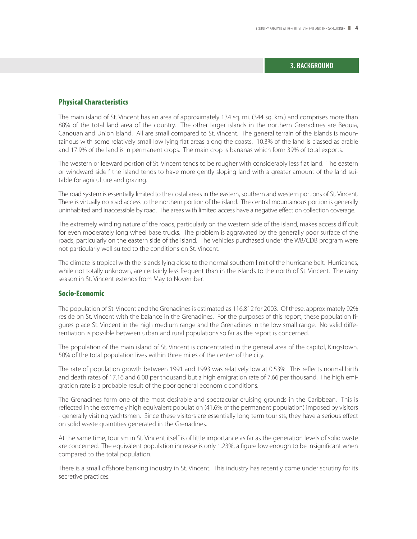# **3. BACKGROUND**

# **Physical Characteristics**

The main island of St. Vincent has an area of approximately 134 sq. mi. (344 sq. km.) and comprises more than 88% of the total land area of the country. The other larger islands in the northern Grenadines are Bequia, Canouan and Union Island. All are small compared to St. Vincent. The general terrain of the islands is mountainous with some relatively small low lying flat areas along the coasts. 10.3% of the land is classed as arable and 17.9% of the land is in permanent crops. The main crop is bananas which form 39% of total exports.

The western or leeward portion of St. Vincent tends to be rougher with considerably less flat land. The eastern or windward side f the island tends to have more gently sloping land with a greater amount of the land suitable for agriculture and grazing.

The road system is essentially limited to the costal areas in the eastern, southern and western portions of St. Vincent. There is virtually no road access to the northern portion of the island. The central mountainous portion is generally uninhabited and inaccessible by road. The areas with limited access have a negative effect on collection coverage.

The extremely winding nature of the roads, particularly on the western side of the island, makes access difficult for even moderately long wheel base trucks. The problem is aggravated by the generally poor surface of the roads, particularly on the eastern side of the island. The vehicles purchased under the WB/CDB program were not particularly well suited to the conditions on St. Vincent.

The climate is tropical with the islands lying close to the normal southern limit of the hurricane belt. Hurricanes, while not totally unknown, are certainly less frequent than in the islands to the north of St. Vincent. The rainy season in St. Vincent extends from May to November.

#### **Socio-Economic**

The population of St. Vincent and the Grenadines is estimated as 116,812 for 2003. Of these, approximately 92% reside on St. Vincent with the balance in the Grenadines. For the purposes of this report, these population figures place St. Vincent in the high medium range and the Grenadines in the low small range. No valid differentiation is possible between urban and rural populations so far as the report is concerned.

The population of the main island of St. Vincent is concentrated in the general area of the capitol, Kingstown. 50% of the total population lives within three miles of the center of the city.

The rate of population growth between 1991 and 1993 was relatively low at 0.53%. This reflects normal birth and death rates of 17.16 and 6.08 per thousand but a high emigration rate of 7.66 per thousand. The high emigration rate is a probable result of the poor general economic conditions.

The Grenadines form one of the most desirable and spectacular cruising grounds in the Caribbean. This is reflected in the extremely high equivalent population (41.6% of the permanent population) imposed by visitors - generally visiting yachtsmen. Since these visitors are essentially long term tourists, they have a serious effect on solid waste quantities generated in the Grenadines.

At the same time, tourism in St. Vincent itself is of little importance as far as the generation levels of solid waste are concerned. The equivalent population increase is only 1.23%, a figure low enough to be insignificant when compared to the total population.

There is a small offshore banking industry in St. Vincent. This industry has recently come under scrutiny for its secretive practices.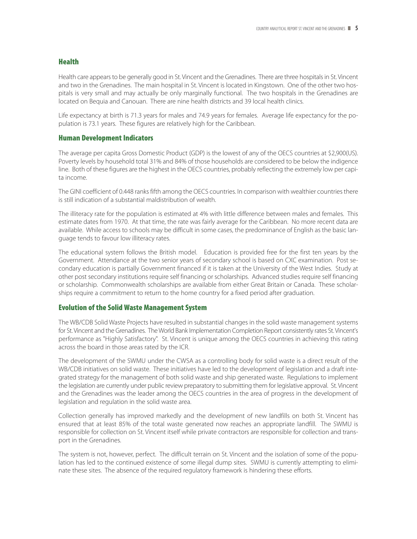# **Health**

Health care appears to be generally good in St. Vincent and the Grenadines. There are three hospitals in St. Vincent and two in the Grenadines. The main hospital in St. Vincent is located in Kingstown. One of the other two hospitals is very small and may actually be only marginally functional. The two hospitals in the Grenadines are located on Bequia and Canouan. There are nine health districts and 39 local health clinics.

Life expectancy at birth is 71.3 years for males and 74.9 years for females. Average life expectancy for the population is 73.1 years. These figures are relatively high for the Caribbean.

# **Human Development Indicators**

The average per capita Gross Domestic Product (GDP) is the lowest of any of the OECS countries at \$2,900(US). Poverty levels by household total 31% and 84% of those households are considered to be below the indigence line. Both of these figures are the highest in the OECS countries, probably reflecting the extremely low per capita income.

The GINI coefficient of 0.448 ranks fifth among the OECS countries. In comparison with wealthier countries there is still indication of a substantial maldistribution of wealth.

The illiteracy rate for the population is estimated at 4% with little difference between males and females. This estimate dates from 1970. At that time, the rate was fairly average for the Caribbean. No more recent data are available. While access to schools may be difficult in some cases, the predominance of English as the basic language tends to favour low illiteracy rates.

The educational system follows the British model. Education is provided free for the first ten years by the Government. Attendance at the two senior years of secondary school is based on CXC examination. Post secondary education is partially Government financed if it is taken at the University of the West Indies. Study at other post secondary institutions require self financing or scholarships. Advanced studies require self financing or scholarship. Commonwealth scholarships are available from either Great Britain or Canada. These scholarships require a commitment to return to the home country for a fixed period after graduation.

# **Evolution of the Solid Waste Management System**

The WB/CDB Solid Waste Projects have resulted in substantial changes in the solid waste management systems for St. Vincent and the Grenadines. The World Bank Implementation Completion Report consistently rates St. Vincent's performance as "Highly Satisfactory". St. Vincent is unique among the OECS countries in achieving this rating across the board in those areas rated by the ICR.

The development of the SWMU under the CWSA as a controlling body for solid waste is a direct result of the WB/CDB initiatives on solid waste. These initiatives have led to the development of legislation and a draft integrated strategy for the management of both solid waste and ship generated waste. Regulations to implement the legislation are currently under public review preparatory to submitting them for legislative approval. St. Vincent and the Grenadines was the leader among the OECS countries in the area of progress in the development of legislation and regulation in the solid waste area.

Collection generally has improved markedly and the development of new landfills on both St. Vincent has ensured that at least 85% of the total waste generated now reaches an appropriate landfill. The SWMU is responsible for collection on St. Vincent itself while private contractors are responsible for collection and transport in the Grenadines.

The system is not, however, perfect. The difficult terrain on St. Vincent and the isolation of some of the population has led to the continued existence of some illegal dump sites. SWMU is currently attempting to eliminate these sites. The absence of the required regulatory framework is hindering these efforts.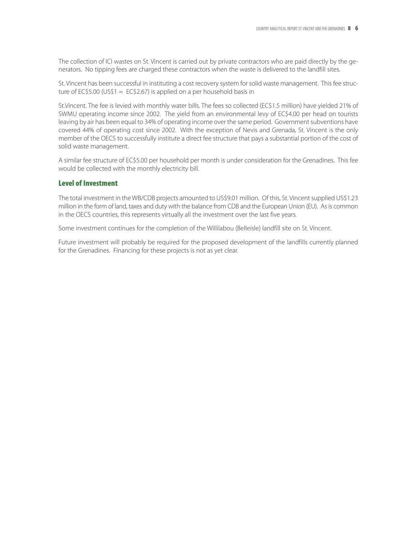The collection of ICI wastes on St. Vincent is carried out by private contractors who are paid directly by the generators. No tipping fees are charged these contractors when the waste is delivered to the landfill sites.

St. Vincent has been successful in instituting a cost recovery system for solid waste management. This fee structure of EC\$5.00 (US\$1 = EC\$2.67) is applied on a per household basis in

St.Vincent. The fee is levied with monthly water bills. The fees so collected (EC\$1.5 million) have yielded 21% of SWMU operating income since 2002. The yield from an environmental levy of EC\$4.00 per head on tourists leaving by air has been equal to 34% of operating income over the same period. Government subventions have covered 44% of operating cost since 2002. With the exception of Nevis and Grenada, St. Vincent is the only member of the OECS to successfully institute a direct fee structure that pays a substantial portion of the cost of solid waste management.

A similar fee structure of EC\$5.00 per household per month is under consideration for the Grenadines. This fee would be collected with the monthly electricity bill.

# **Level of Investment**

The total investment in the WB/CDB projects amounted to US\$9.01 million. Of this, St. Vincent supplied US\$1.23 million in the form of land, taxes and duty with the balance from CDB and the European Union (EU). As is common in the OECS countries, this represents virtually all the investment over the last five years.

Some investment continues for the completion of the Willilabou (Belleisle) landfill site on St. Vincent.

Future investment will probably be required for the proposed development of the landfills currently planned for the Grenadines. Financing for these projects is not as yet clear.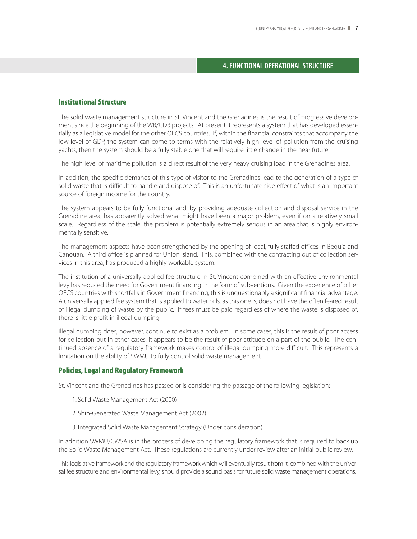# **4. FUNCTIONAL OPERATIONAL STRUCTURE**

# **Institutional Structure**

The solid waste management structure in St. Vincent and the Grenadines is the result of progressive development since the beginning of the WB/CDB projects. At present it represents a system that has developed essentially as a legislative model for the other OECS countries. If, within the financial constraints that accompany the low level of GDP, the system can come to terms with the relatively high level of pollution from the cruising yachts, then the system should be a fully stable one that will require little change in the near future.

The high level of maritime pollution is a direct result of the very heavy cruising load in the Grenadines area.

In addition, the specific demands of this type of visitor to the Grenadines lead to the generation of a type of solid waste that is difficult to handle and dispose of. This is an unfortunate side effect of what is an important source of foreign income for the country.

The system appears to be fully functional and, by providing adequate collection and disposal service in the Grenadine area, has apparently solved what might have been a major problem, even if on a relatively small scale. Regardless of the scale, the problem is potentially extremely serious in an area that is highly environmentally sensitive.

The management aspects have been strengthened by the opening of local, fully staffed offices in Bequia and Canouan. A third office is planned for Union Island. This, combined with the contracting out of collection services in this area, has produced a highly workable system.

The institution of a universally applied fee structure in St. Vincent combined with an effective environmental levy has reduced the need for Government financing in the form of subventions. Given the experience of other OECS countries with shortfalls in Government financing, this is unquestionably a significant financial advantage. A universally applied fee system that is applied to water bills, as this one is, does not have the often feared result of illegal dumping of waste by the public. If fees must be paid regardless of where the waste is disposed of, there is little profit in illegal dumping.

Illegal dumping does, however, continue to exist as a problem. In some cases, this is the result of poor access for collection but in other cases, it appears to be the result of poor attitude on a part of the public. The continued absence of a regulatory framework makes control of illegal dumping more difficult. This represents a limitation on the ability of SWMU to fully control solid waste management

# **Policies, Legal and Regulatory Framework**

St. Vincent and the Grenadines has passed or is considering the passage of the following legislation:

- 1. Solid Waste Management Act (2000)
- 2. Ship-Generated Waste Management Act (2002)
- 3. Integrated Solid Waste Management Strategy (Under consideration)

In addition SWMU/CWSA is in the process of developing the regulatory framework that is required to back up the Solid Waste Management Act. These regulations are currently under review after an initial public review.

This legislative framework and the regulatory framework which will eventually result from it, combined with the universal fee structure and environmental levy, should provide a sound basis for future solid waste management operations.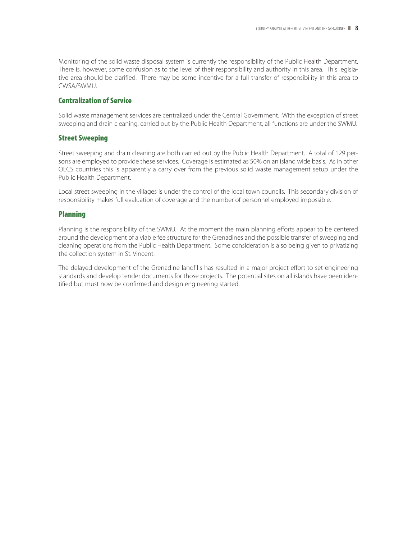Monitoring of the solid waste disposal system is currently the responsibility of the Public Health Department. There is, however, some confusion as to the level of their responsibility and authority in this area. This legislative area should be clarified. There may be some incentive for a full transfer of responsibility in this area to CWSA/SWMU.

# **Centralization of Service**

Solid waste management services are centralized under the Central Government. With the exception of street sweeping and drain cleaning, carried out by the Public Health Department, all functions are under the SWMU.

# **Street Sweeping**

Street sweeping and drain cleaning are both carried out by the Public Health Department. A total of 129 persons are employed to provide these services. Coverage is estimated as 50% on an island wide basis. As in other OECS countries this is apparently a carry over from the previous solid waste management setup under the Public Health Department.

Local street sweeping in the villages is under the control of the local town councils. This secondary division of responsibility makes full evaluation of coverage and the number of personnel employed impossible.

# **Planning**

Planning is the responsibility of the SWMU. At the moment the main planning efforts appear to be centered around the development of a viable fee structure for the Grenadines and the possible transfer of sweeping and cleaning operations from the Public Health Department. Some consideration is also being given to privatizing the collection system in St. Vincent.

The delayed development of the Grenadine landfills has resulted in a major project effort to set engineering standards and develop tender documents for those projects. The potential sites on all islands have been identified but must now be confirmed and design engineering started.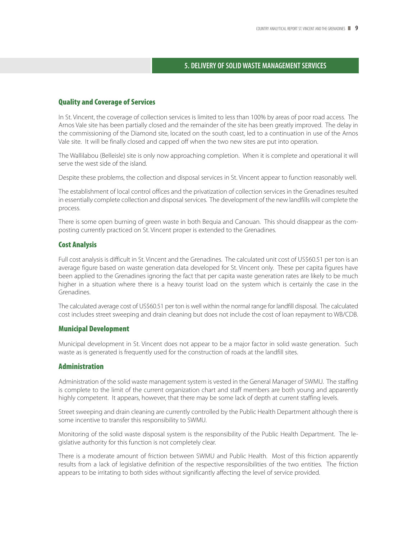# **5. DELIVERY OF SOLID WASTE MANAGEMENT SERVICES**

#### **Quality and Coverage of Services**

In St. Vincent, the coverage of collection services is limited to less than 100% by areas of poor road access. The Arnos Vale site has been partially closed and the remainder of the site has been greatly improved. The delay in the commissioning of the Diamond site, located on the south coast, led to a continuation in use of the Arnos Vale site. It will be finally closed and capped off when the two new sites are put into operation.

The Wallilabou (Belleisle) site is only now approaching completion. When it is complete and operational it will serve the west side of the island.

Despite these problems, the collection and disposal services in St. Vincent appear to function reasonably well.

The establishment of local control offices and the privatization of collection services in the Grenadines resulted in essentially complete collection and disposal services. The development of the new landfills will complete the process.

There is some open burning of green waste in both Bequia and Canouan. This should disappear as the composting currently practiced on St. Vincent proper is extended to the Grenadines.

# **Cost Analysis**

Full cost analysis is difficult in St. Vincent and the Grenadines. The calculated unit cost of US\$60.51 per ton is an average figure based on waste generation data developed for St. Vincent only. These per capita figures have been applied to the Grenadines ignoring the fact that per capita waste generation rates are likely to be much higher in a situation where there is a heavy tourist load on the system which is certainly the case in the Grenadines.

The calculated average cost of US\$60.51 per ton is well within the normal range for landfill disposal. The calculated cost includes street sweeping and drain cleaning but does not include the cost of loan repayment to WB/CDB.

# **Municipal Development**

Municipal development in St. Vincent does not appear to be a major factor in solid waste generation. Such waste as is generated is frequently used for the construction of roads at the landfill sites.

#### **Administration**

Administration of the solid waste management system is vested in the General Manager of SWMU. The staffing is complete to the limit of the current organization chart and staff members are both young and apparently highly competent. It appears, however, that there may be some lack of depth at current staffing levels.

Street sweeping and drain cleaning are currently controlled by the Public Health Department although there is some incentive to transfer this responsibility to SWMU.

Monitoring of the solid waste disposal system is the responsibility of the Public Health Department. The legislative authority for this function is not completely clear.

There is a moderate amount of friction between SWMU and Public Health. Most of this friction apparently results from a lack of legislative definition of the respective responsibilities of the two entities. The friction appears to be irritating to both sides without significantly affecting the level of service provided.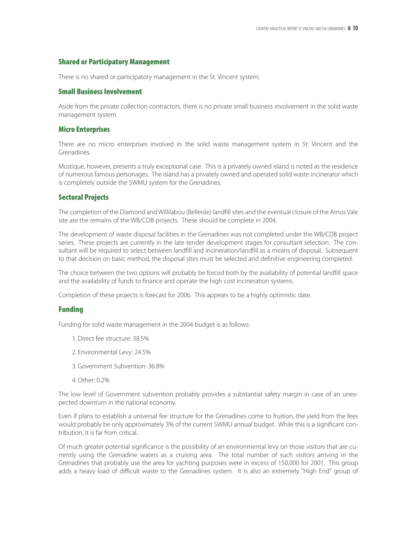# **Shared or Participatory Management**

There is no shared or participatory management in the St. Vincent system.

# **Small Business Involvement**

Aside from the private collection contractors, there is no private small business involvement in the solid waste management system.

#### **Micro Enterprises**

There are no micro enterprises involved in the solid waste management system in St. Vincent and the Grenadines.

Mustique, however, presents a truly exceptional case. This is a privately owned island is noted as the residence of numerous famous personages. The island has a privately owned and operated solid waste incinerator which is completely outside the SWMU system for the Grenadines.

# **Sectoral Projects**

The completion of the Diamond and Willilabou (Belleisle) landfill sites and the eventual closure of the Arnos Vale site are the remains of the WB/CDB projects. These should be complete in 2004.

The development of waste disposal facilities in the Grenadines was not completed under the WB/CDB project series. These projects are currently in the late tender development stages for consultant selection. The consultant will be required to select between landfill and incineration/landfill as a means of disposal. Subsequent to that decision on basic method, the disposal sites must be selected and definitive engineering completed.

The choice between the two options will probably be forced both by the availability of potential landfill space and the availability of funds to finance and operate the high cost incineration systems.

Completion of these projects is forecast for 2006. This appears to be a highly optimistic date.

# **Funding**

Funding for solid waste management in the 2004 budget is as follows:

- 1. Direct fee structure: 38.5%
- 2. Environmental Levy: 24.5%
- 3. Government Subvention: 36.8%
- 4. Other: 0.2%

The low level of Government subvention probably provides a substantial safety margin in case of an unexpected downturn in the national economy.

Even if plans to establish a universal fee structure for the Grenadines come to fruition, the yield from the fees would probably be only approximately 3% of the current SWMU annual budget. While this is a significant contribution, it is far from critical.

Of much greater potential significance is the possibility of an environmental levy on those visitors that are currently using the Grenadine waters as a cruising area. The total number of such visitors arriving in the Grenadines that probably use the area for yachting purposes were in excess of 150,000 for 2001. This group adds a heavy load of difficult waste to the Grenadines system. It is also an extremely "High End" group of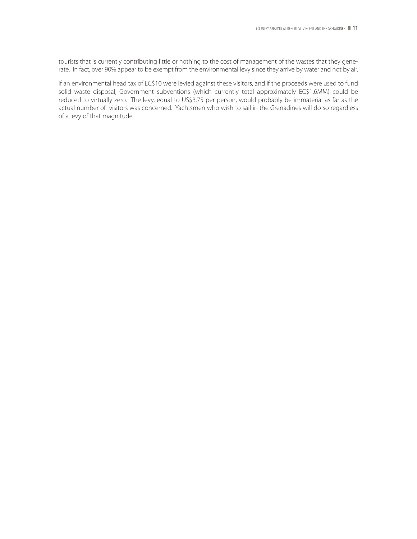tourists that is currently contributing little or nothing to the cost of management of the wastes that they generate. In fact, over 90% appear to be exempt from the environmental levy since they arrive by water and not by air.

If an environmental head tax of EC\$10 were levied against these visitors, and if the proceeds were used to fund solid waste disposal, Government subventions (which currently total approximately EC\$1.6MM) could be reduced to virtually zero. The levy, equal to US\$3.75 per person, would probably be immaterial as far as the actual number of visitors was concerned. Yachtsmen who wish to sail in the Grenadines will do so regardless of a levy of that magnitude.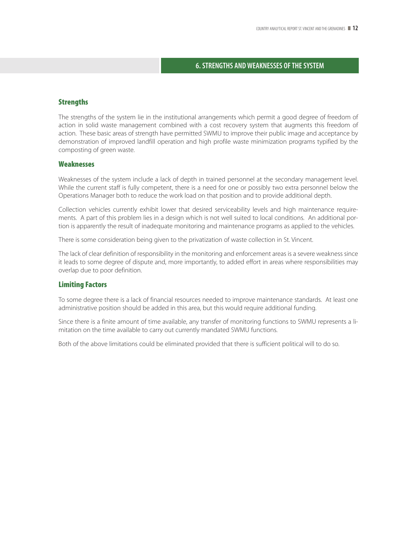# **6. STRENGTHS AND WEAKNESSES OF THE SYSTEM**

#### **Strengths**

The strengths of the system lie in the institutional arrangements which permit a good degree of freedom of action in solid waste management combined with a cost recovery system that augments this freedom of action. These basic areas of strength have permitted SWMU to improve their public image and acceptance by demonstration of improved landfill operation and high profile waste minimization programs typified by the composting of green waste.

# **Weaknesses**

Weaknesses of the system include a lack of depth in trained personnel at the secondary management level. While the current staff is fully competent, there is a need for one or possibly two extra personnel below the Operations Manager both to reduce the work load on that position and to provide additional depth.

Collection vehicles currently exhibit lower that desired serviceability levels and high maintenance requirements. A part of this problem lies in a design which is not well suited to local conditions. An additional portion is apparently the result of inadequate monitoring and maintenance programs as applied to the vehicles.

There is some consideration being given to the privatization of waste collection in St. Vincent.

The lack of clear definition of responsibility in the monitoring and enforcement areas is a severe weakness since it leads to some degree of dispute and, more importantly, to added effort in areas where responsibilities may overlap due to poor definition.

# **Limiting Factors**

To some degree there is a lack of financial resources needed to improve maintenance standards. At least one administrative position should be added in this area, but this would require additional funding.

Since there is a finite amount of time available, any transfer of monitoring functions to SWMU represents a limitation on the time available to carry out currently mandated SWMU functions.

Both of the above limitations could be eliminated provided that there is sufficient political will to do so.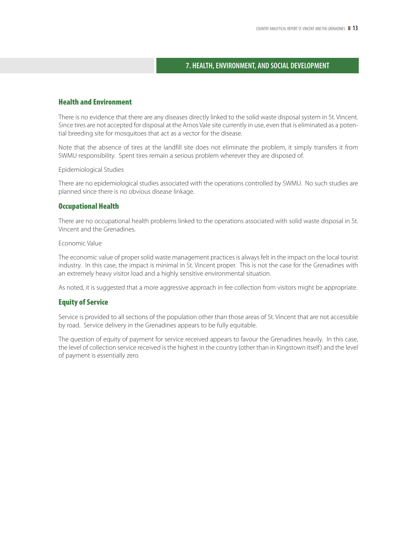# **7. HEALTH, ENVIRONMENT, AND SOCIAL DEVELOPMENT**

# **Health and Environment**

There is no evidence that there are any diseases directly linked to the solid waste disposal system in St. Vincent. Since tires are not accepted for disposal at the Arnos Vale site currently in use, even that is eliminated as a potential breeding site for mosquitoes that act as a vector for the disease.

Note that the absence of tires at the landfill site does not eliminate the problem, it simply transfers it from SWMU responsibility. Spent tires remain a serious problem wherever they are disposed of.

Epidemiological Studies

There are no epidemiological studies associated with the operations controlled by SWMU. No such studies are planned since there is no obvious disease linkage.

# **Occupational Health**

There are no occupational health problems linked to the operations associated with solid waste disposal in St. Vincent and the Grenadines.

Economic Value

The economic value of proper solid waste management practices is always felt in the impact on the local tourist industry. In this case, the impact is minimal in St. Vincent proper. This is not the case for the Grenadines with an extremely heavy visitor load and a highly sensitive environmental situation.

As noted, it is suggested that a more aggressive approach in fee collection from visitors might be appropriate.

#### **Equity of Service**

Service is provided to all sections of the population other than those areas of St. Vincent that are not accessible by road. Service delivery in the Grenadines appears to be fully equitable.

The question of equity of payment for service received appears to favour the Grenadines heavily. In this case, the level of collection service received is the highest in the country (other than in Kingstown itself) and the level of payment is essentially zero.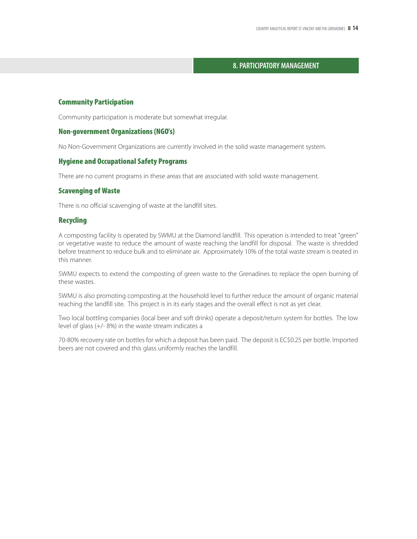# **8. PARTICIPATORY MANAGEMENT**

#### **Community Participation**

Community participation is moderate but somewhat irregular.

# **Non-government Organizations (NGO's)**

No Non-Government Organizations are currently involved in the solid waste management system.

# **Hygiene and Occupational Safety Programs**

There are no current programs in these areas that are associated with solid waste management.

#### **Scavenging of Waste**

There is no official scavenging of waste at the landfill sites.

# **Recycling**

A composting facility is operated by SWMU at the Diamond landfill. This operation is intended to treat "green" or vegetative waste to reduce the amount of waste reaching the landfill for disposal. The waste is shredded before treatment to reduce bulk and to eliminate air. Approximately 10% of the total waste stream is treated in this manner.

SWMU expects to extend the composting of green waste to the Grenadines to replace the open burning of these wastes.

SWMU is also promoting composting at the household level to further reduce the amount of organic material reaching the landfill site. This project is in its early stages and the overall effect is not as yet clear.

Two local bottling companies (local beer and soft drinks) operate a deposit/return system for bottles. The low level of glass (+/- 8%) in the waste stream indicates a

70-80% recovery rate on bottles for which a deposit has been paid. The deposit is EC\$0.25 per bottle. Imported beers are not covered and this glass uniformly reaches the landfill.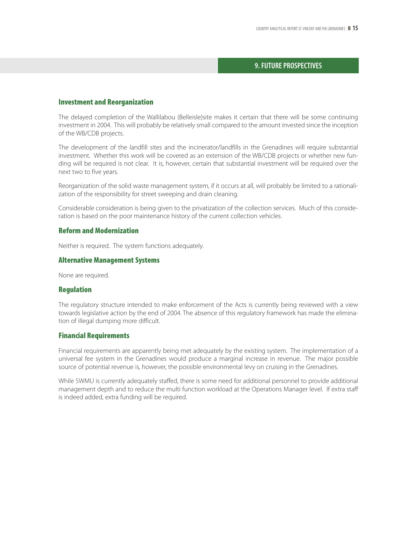# **9. FUTURE PROSPECTIVES**

#### **Investment and Reorganization**

The delayed completion of the Wallilabou (Belleisle)site makes it certain that there will be some continuing investment in 2004. This will probably be relatively small compared to the amount invested since the inception of the WB/CDB projects.

The development of the landfill sites and the incinerator/landfills in the Grenadines will require substantial investment. Whether this work will be covered as an extension of the WB/CDB projects or whether new funding will be required is not clear. It is, however, certain that substantial investment will be required over the next two to five years.

Reorganization of the solid waste management system, if it occurs at all, will probably be limited to a rationalization of the responsibility for street sweeping and drain cleaning.

Considerable consideration is being given to the privatization of the collection services. Much of this consideration is based on the poor maintenance history of the current collection vehicles.

# **Reform and Modernization**

Neither is required. The system functions adequately.

#### **Alternative Management Systems**

None are required.

#### **Regulation**

The regulatory structure intended to make enforcement of the Acts is currently being reviewed with a view towards legislative action by the end of 2004. The absence of this regulatory framework has made the elimination of illegal dumping more difficult.

#### **Financial Requirements**

Financial requirements are apparently being met adequately by the existing system. The implementation of a universal fee system in the Grenadines would produce a marginal increase in revenue. The major possible source of potential revenue is, however, the possible environmental levy on cruising in the Grenadines.

While SWMU is currently adequately staffed, there is some need for additional personnel to provide additional management depth and to reduce the multi function workload at the Operations Manager level. If extra staff is indeed added, extra funding will be required.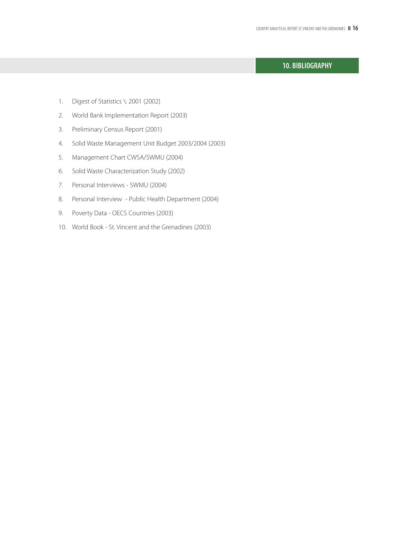# **10. BIBLIOGRAPHY**

- 1. Digest of Statistics \: 2001 (2002)
- 2. World Bank Implementation Report (2003)
- 3. Preliminary Census Report (2001)
- 4. Solid Waste Management Unit Budget 2003/2004 (2003)
- 5. Management Chart CWSA/SWMU (2004)
- 6. Solid Waste Characterization Study (2002)
- 7. Personal Interviews SWMU (2004)
- 8. Personal Interview Public Health Department (2004)
- 9. Poverty Data OECS Countries (2003)
- 10. World Book St. Vincent and the Grenadines (2003)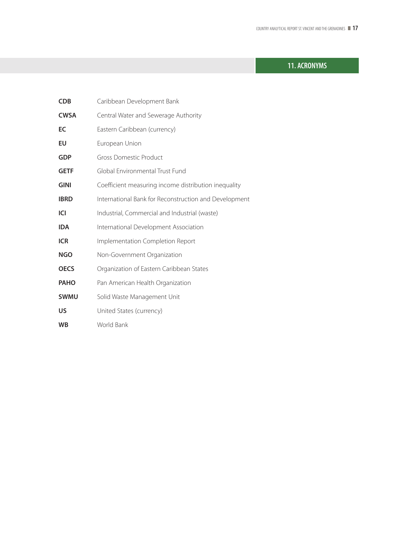# **11. ACRONYMS**

| <b>CDB</b>  | Caribbean Development Bank                            |
|-------------|-------------------------------------------------------|
| <b>CWSA</b> | Central Water and Sewerage Authority                  |
| EC          | Eastern Caribbean (currency)                          |
| EU          | European Union                                        |
| <b>GDP</b>  | <b>Gross Domestic Product</b>                         |
| <b>GETF</b> | Global Environmental Trust Fund                       |
| <b>GINI</b> | Coefficient measuring income distribution inequality  |
| <b>IBRD</b> | International Bank for Reconstruction and Development |
| ICI         | Industrial, Commercial and Industrial (waste)         |
| <b>IDA</b>  | International Development Association                 |
| <b>ICR</b>  | Implementation Completion Report                      |
| <b>NGO</b>  | Non-Government Organization                           |
| <b>OECS</b> | Organization of Eastern Caribbean States              |
| <b>PAHO</b> | Pan American Health Organization                      |
| <b>SWMU</b> | Solid Waste Management Unit                           |
| US          | United States (currency)                              |
| <b>WB</b>   | World Bank                                            |
|             |                                                       |